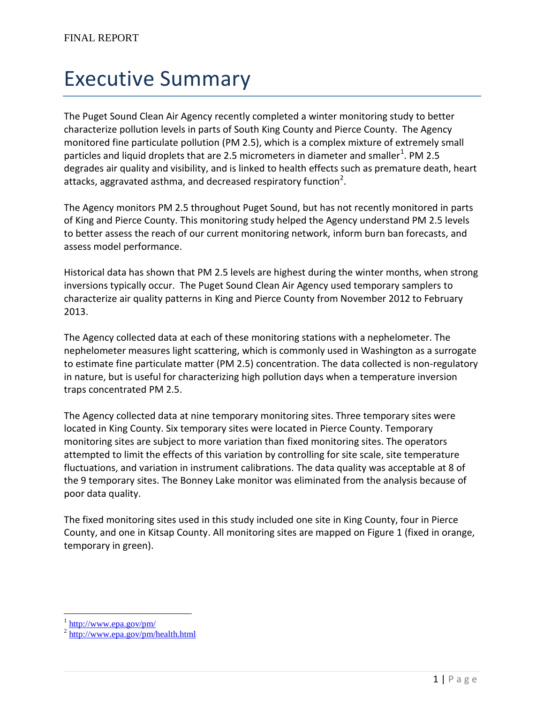## Executive Summary

The Puget Sound Clean Air Agency recently completed a winter monitoring study to better characterize pollution levels in parts of South King County and Pierce County. The Agency monitored fine particulate pollution (PM 2.5), which is a complex mixture of extremely small particles and liquid droplets that are 2.5 micrometers in diameter and smaller<sup>1</sup>. PM 2.5 degrades air quality and visibility, and is linked to health effects such as premature death, heart attacks, aggravated asthma, and decreased respiratory function<sup>2</sup>.

The Agency monitors PM 2.5 throughout Puget Sound, but has not recently monitored in parts of King and Pierce County. This monitoring study helped the Agency understand PM 2.5 levels to better assess the reach of our current monitoring network, inform burn ban forecasts, and assess model performance.

Historical data has shown that PM 2.5 levels are highest during the winter months, when strong inversions typically occur. The Puget Sound Clean Air Agency used temporary samplers to characterize air quality patterns in King and Pierce County from November 2012 to February 2013.

The Agency collected data at each of these monitoring stations with a nephelometer. The nephelometer measures light scattering, which is commonly used in Washington as a surrogate to estimate fine particulate matter (PM 2.5) concentration. The data collected is non-regulatory in nature, but is useful for characterizing high pollution days when a temperature inversion traps concentrated PM 2.5.

The Agency collected data at nine temporary monitoring sites. Three temporary sites were located in King County. Six temporary sites were located in Pierce County. Temporary monitoring sites are subject to more variation than fixed monitoring sites. The operators attempted to limit the effects of this variation by controlling for site scale, site temperature fluctuations, and variation in instrument calibrations. The data quality was acceptable at 8 of the 9 temporary sites. The Bonney Lake monitor was eliminated from the analysis because of poor data quality.

The fixed monitoring sites used in this study included one site in King County, four in Pierce County, and one in Kitsap County. All monitoring sites are mapped on Figure 1 (fixed in orange, temporary in green).

 $\overline{a}$ 

 $\frac{1 \text{ http://www.epa.gov/pm/}}{}$  $\frac{1 \text{ http://www.epa.gov/pm/}}{}$  $\frac{1 \text{ http://www.epa.gov/pm/}}{}$ 

<sup>&</sup>lt;sup>2</sup> <http://www.epa.gov/pm/health.html>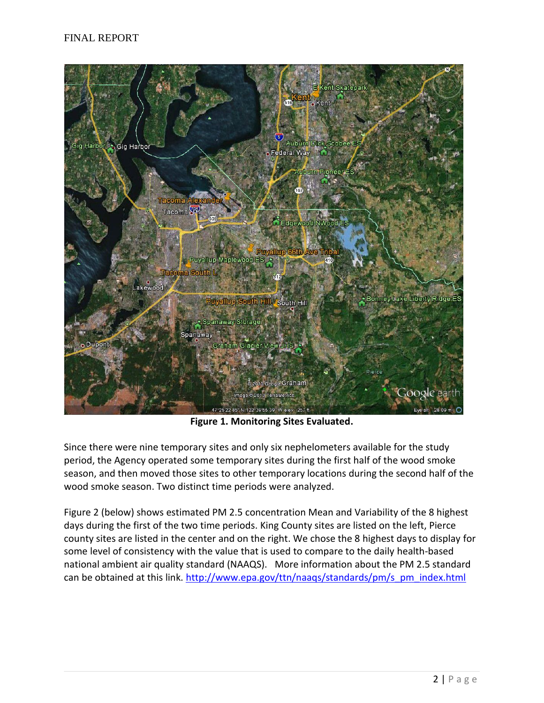

**Figure 1. Monitoring Sites Evaluated.**

Since there were nine temporary sites and only six nephelometers available for the study period, the Agency operated some temporary sites during the first half of the wood smoke season, and then moved those sites to other temporary locations during the second half of the wood smoke season. Two distinct time periods were analyzed.

Figure 2 (below) shows estimated PM 2.5 concentration Mean and Variability of the 8 highest days during the first of the two time periods. King County sites are listed on the left, Pierce county sites are listed in the center and on the right. We chose the 8 highest days to display for some level of consistency with the value that is used to compare to the daily health-based national ambient air quality standard (NAAQS). More information about the PM 2.5 standard can be obtained at this link. [http://www.epa.gov/ttn/naaqs/standards/pm/s\\_pm\\_index.html](http://www.epa.gov/ttn/naaqs/standards/pm/s_pm_index.html)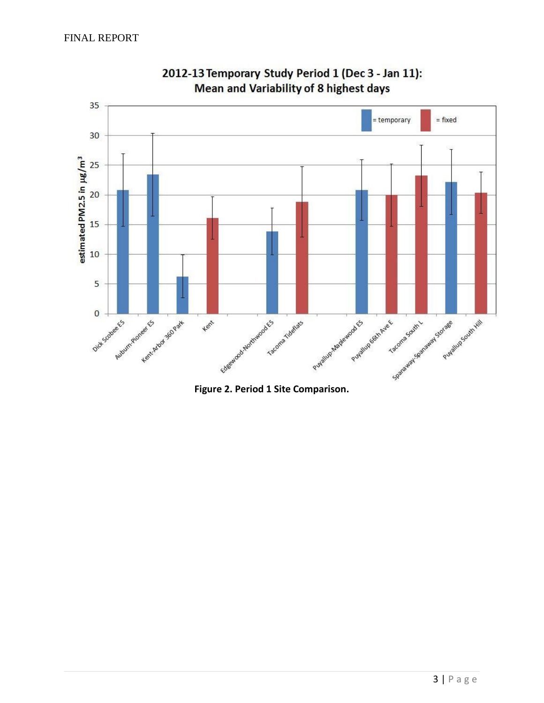

2012-13 Temporary Study Period 1 (Dec 3 - Jan 11): Mean and Variability of 8 highest days

**Figure 2. Period 1 Site Comparison.**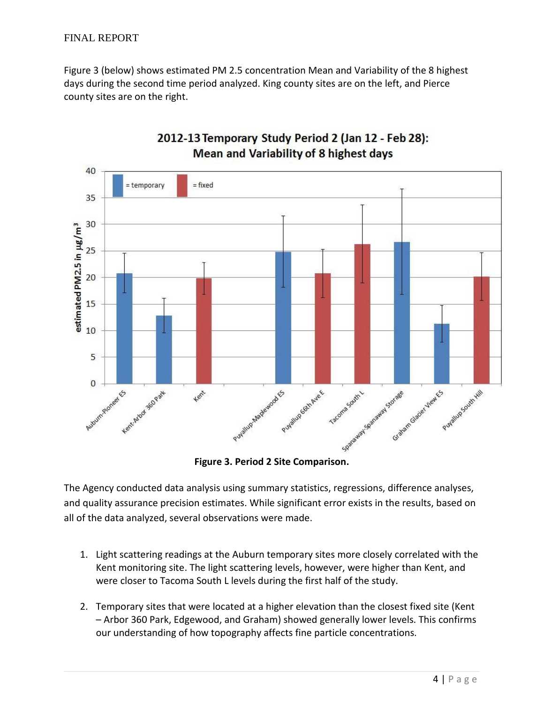Figure 3 (below) shows estimated PM 2.5 concentration Mean and Variability of the 8 highest days during the second time period analyzed. King county sites are on the left, and Pierce county sites are on the right.



## 2012-13 Temporary Study Period 2 (Jan 12 - Feb 28): Mean and Variability of 8 highest days

**Figure 3. Period 2 Site Comparison.**

The Agency conducted data analysis using summary statistics, regressions, difference analyses, and quality assurance precision estimates. While significant error exists in the results, based on all of the data analyzed, several observations were made.

- 1. Light scattering readings at the Auburn temporary sites more closely correlated with the Kent monitoring site. The light scattering levels, however, were higher than Kent, and were closer to Tacoma South L levels during the first half of the study.
- 2. Temporary sites that were located at a higher elevation than the closest fixed site (Kent – Arbor 360 Park, Edgewood, and Graham) showed generally lower levels. This confirms our understanding of how topography affects fine particle concentrations.